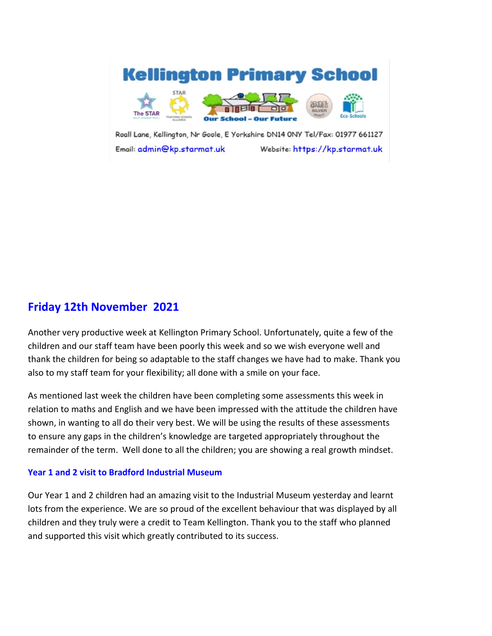

Roall Lane, Kellington, Nr Goole, E Yorkshire DN14 0NY Tel/Fax: 01977 661127 Email: admin@kp.starmat.uk Website: https://kp.starmat.uk

# **Friday 12th November 2021**

Another very productive week at Kellington Primary School. Unfortunately, quite a few of the children and our staff team have been poorly this week and so we wish everyone well and thank the children for being so adaptable to the staff changes we have had to make. Thank you also to my staff team for your flexibility; all done with a smile on your face.

As mentioned last week the children have been completing some assessments this week in relation to maths and English and we have been impressed with the attitude the children have shown, in wanting to all do their very best. We will be using the results of these assessments to ensure any gaps in the children's knowledge are targeted appropriately throughout the remainder of the term. Well done to all the children; you are showing a real growth mindset.

## **Year 1 and 2 visit to Bradford Industrial Museum**

Our Year 1 and 2 children had an amazing visit to the Industrial Museum yesterday and learnt lots from the experience. We are so proud of the excellent behaviour that was displayed by all children and they truly were a credit to Team Kellington. Thank you to the staff who planned and supported this visit which greatly contributed to its success.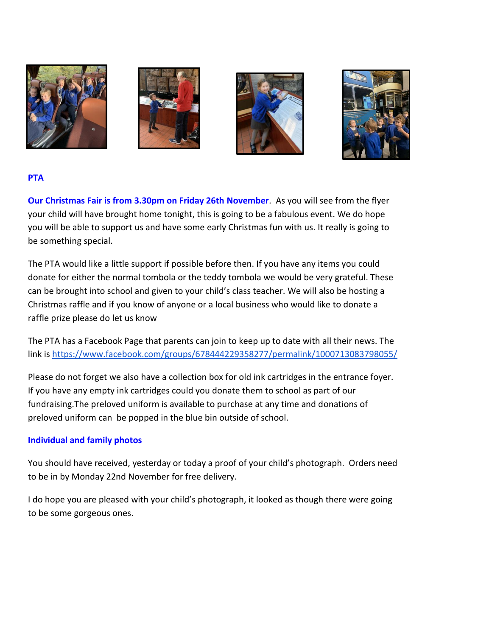







# **PTA**

**Our Christmas Fair is from 3.30pm on Friday 26th November**. As you will see from the flyer your child will have brought home tonight, this is going to be a fabulous event. We do hope you will be able to support us and have some early Christmas fun with us. It really is going to be something special.

The PTA would like a little support if possible before then. If you have any items you could donate for either the normal tombola or the teddy tombola we would be very grateful. These can be brought into school and given to your child's class teacher. We will also be hosting a Christmas raffle and if you know of anyone or a local business who would like to donate a raffle prize please do let us know

The PTA has a Facebook Page that parents can join to keep up to date with all their news. The link is<https://www.facebook.com/groups/678444229358277/permalink/1000713083798055/>

Please do not forget we also have a collection box for old ink cartridges in the entrance foyer. If you have any empty ink cartridges could you donate them to school as part of our fundraising.The preloved uniform is available to purchase at any time and donations of preloved uniform can be popped in the blue bin outside of school.

# **Individual and family photos**

You should have received, yesterday or today a proof of your child's photograph. Orders need to be in by Monday 22nd November for free delivery.

I do hope you are pleased with your child's photograph, it looked as though there were going to be some gorgeous ones.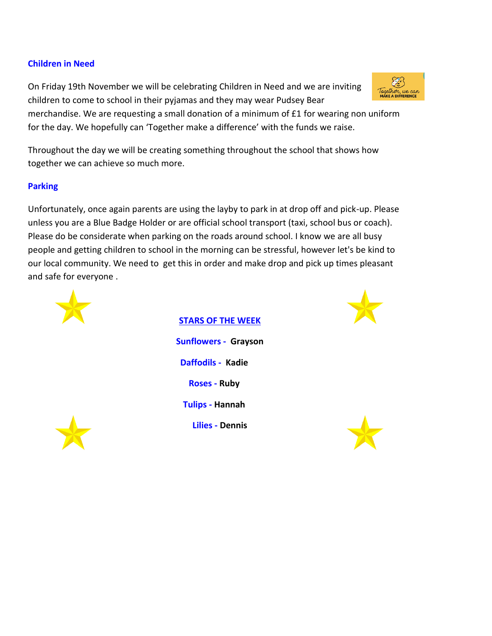## **Children in Need**

On Friday 19th November we will be celebrating Children in Need and we are inviting children to come to school in their pyjamas and they may wear Pudsey Bear

merchandise. We are requesting a small donation of a minimum of £1 for wearing non uniform for the day. We hopefully can 'Together make a difference' with the funds we raise.

Throughout the day we will be creating something throughout the school that shows how together we can achieve so much more.

# **Parking**

Unfortunately, once again parents are using the layby to park in at drop off and pick-up. Please unless you are a Blue Badge Holder or are official school transport (taxi, school bus or coach). Please do be considerate when parking on the roads around school. I know we are all busy people and getting children to school in the morning can be stressful, however let's be kind to our local community. We need to get this in order and make drop and pick up times pleasant and safe for everyone .





**STARS OF THE WEEK Sunflowers - Grayson Daffodils - Kadie Roses - Ruby Tulips - Hannah Lilies - Dennis**





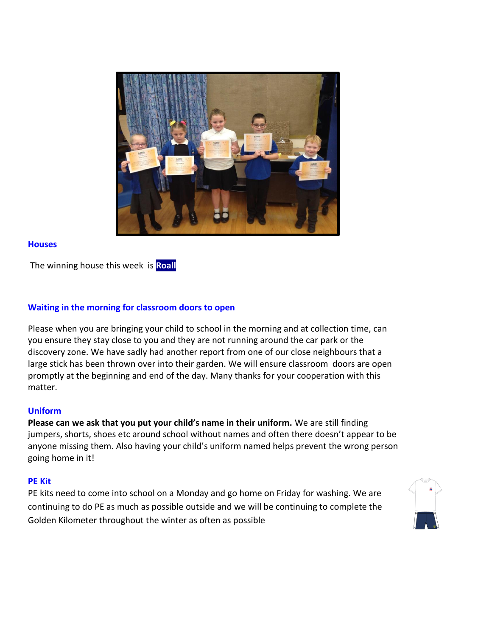

#### **Houses**

The winning house this week is **Roall**

## **Waiting in the morning for classroom doors to open**

Please when you are bringing your child to school in the morning and at collection time, can you ensure they stay close to you and they are not running around the car park or the discovery zone. We have sadly had another report from one of our close neighbours that a large stick has been thrown over into their garden. We will ensure classroom doors are open promptly at the beginning and end of the day. Many thanks for your cooperation with this matter.

#### **Uniform**

**Please can we ask that you put your child's name in their uniform.** We are still finding jumpers, shorts, shoes etc around school without names and often there doesn't appear to be anyone missing them. Also having your child's uniform named helps prevent the wrong person going home in it!

#### **PE Kit**

PE kits need to come into school on a Monday and go home on Friday for washing. We are continuing to do PE as much as possible outside and we will be continuing to complete the Golden Kilometer throughout the winter as often as possible

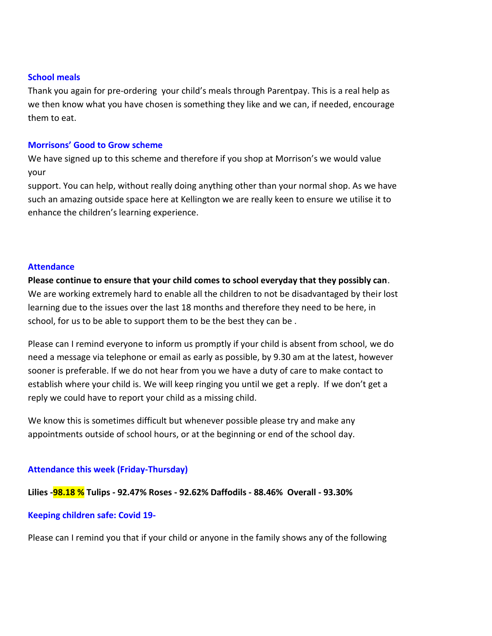#### **School meals**

Thank you again for pre-ordering your child's meals through Parentpay. This is a real help as we then know what you have chosen is something they like and we can, if needed, encourage them to eat.

#### **Morrisons' Good to Grow scheme**

We have signed up to this scheme and therefore if you shop at Morrison's we would value your

support. You can help, without really doing anything other than your normal shop. As we have such an amazing outside space here at Kellington we are really keen to ensure we utilise it to enhance the children's learning experience.

#### **Attendance**

**Please continue to ensure that your child comes to school everyday that they possibly can**. We are working extremely hard to enable all the children to not be disadvantaged by their lost learning due to the issues over the last 18 months and therefore they need to be here, in school, for us to be able to support them to be the best they can be .

Please can I remind everyone to inform us promptly if your child is absent from school, we do need a message via telephone or email as early as possible, by 9.30 am at the latest, however sooner is preferable. If we do not hear from you we have a duty of care to make contact to establish where your child is. We will keep ringing you until we get a reply. If we don't get a reply we could have to report your child as a missing child.

We know this is sometimes difficult but whenever possible please try and make any appointments outside of school hours, or at the beginning or end of the school day.

## **Attendance this week (Friday-Thursday)**

**Lilies -98.18 % Tulips - 92.47% Roses - 92.62% Daffodils - 88.46% Overall - 93.30%**

#### **Keeping children safe: Covid 19-**

Please can I remind you that if your child or anyone in the family shows any of the following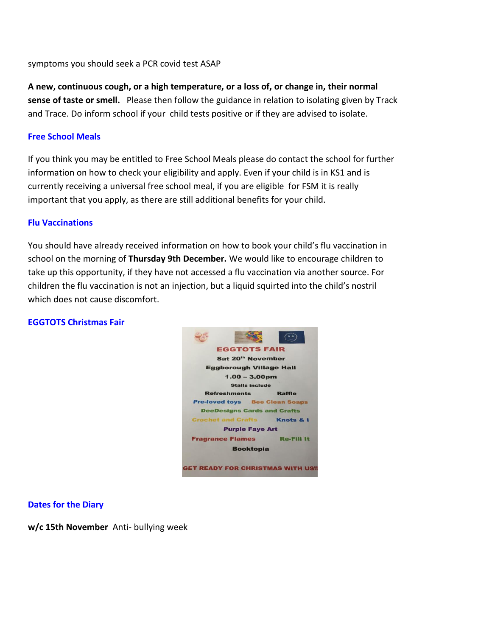symptoms you should seek a PCR covid test ASAP

**A new, continuous cough, or a high temperature, or a loss of, or change in, their normal sense of taste or smell.** Please then follow the guidance in relation to isolating given by Track and Trace. Do inform school if your child tests positive or if they are advised to isolate.

## **Free School Meals**

If you think you may be entitled to Free School Meals please do contact the school for further information on how to check your eligibility and apply. Even if your child is in KS1 and is currently receiving a universal free school meal, if you are eligible for FSM it is really important that you apply, as there are still additional benefits for your child.

#### **Flu Vaccinations**

You should have already received information on how to book your child's flu vaccination in school on the morning of **Thursday 9th December.** We would like to encourage children to take up this opportunity, if they have not accessed a flu vaccination via another source. For children the flu vaccination is not an injection, but a liquid squirted into the child's nostril which does not cause discomfort.

## **EGGTOTS Christmas Fair**



#### **Dates for the Diary**

**w/c 15th November** Anti- bullying week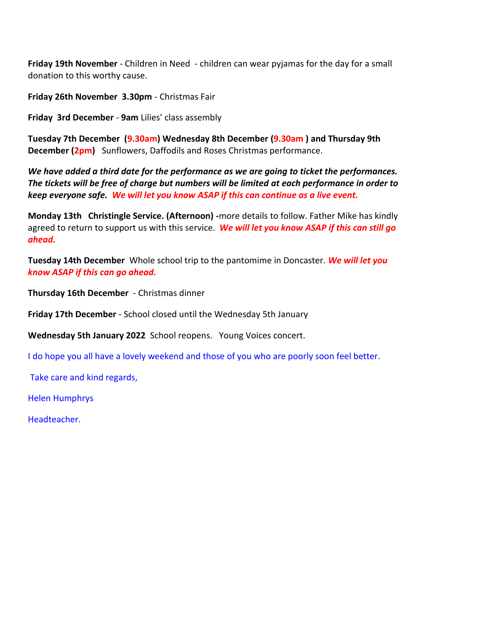**Friday 19th November** - Children in Need - children can wear pyjamas for the day for a small donation to this worthy cause.

**Friday 26th November 3.30pm** - Christmas Fair

**Friday 3rd December** - **9am** Lilies' class assembly

**Tuesday 7th December (9.30am) Wednesday 8th December (9.30am ) and Thursday 9th December (2pm)** Sunflowers, Daffodils and Roses Christmas performance.

*We have added a third date for the performance as we are going to ticket the performances. The tickets will be free of charge but numbers will be limited at each performance in order to keep everyone safe. We will let you know ASAP if this can continue as a live event.* 

**Monday 13th Christingle Service. (Afternoon) -**more details to follow. Father Mike has kindly agreed to return to support us with this service. *We will let you know ASAP if this can still go ahead.* 

**Tuesday 14th December** Whole school trip to the pantomime in Doncaster. *We will let you know ASAP if this can go ahead.* 

**Thursday 16th December** - Christmas dinner

**Friday 17th December** - School closed until the Wednesday 5th January

**Wednesday 5th January 2022** School reopens. Young Voices concert.

I do hope you all have a lovely weekend and those of you who are poorly soon feel better.

Take care and kind regards,

Helen Humphrys

Headteacher.